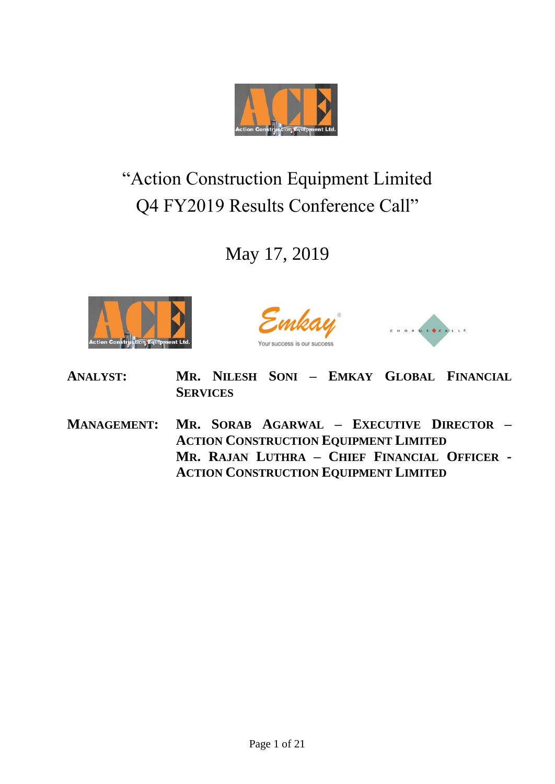

# "Action Construction Equipment Limited Q4 FY2019 Results Conference Call"

# May 17, 2019



.mkay



- **ANALYST: MR. NILESH SONI – EMKAY GLOBAL FINANCIAL SERVICES**
- **MANAGEMENT: MR. SORAB AGARWAL – EXECUTIVE DIRECTOR – ACTION CONSTRUCTION EQUIPMENT LIMITED MR. RAJAN LUTHRA – CHIEF FINANCIAL OFFICER - ACTION CONSTRUCTION EQUIPMENT LIMITED**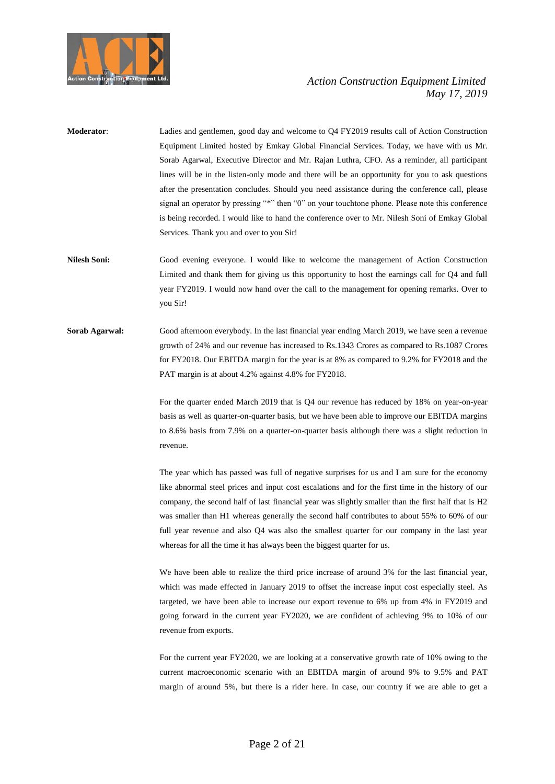

- **Moderator**: Ladies and gentlemen, good day and welcome to Q4 FY2019 results call of Action Construction Equipment Limited hosted by Emkay Global Financial Services. Today, we have with us Mr. Sorab Agarwal, Executive Director and Mr. Rajan Luthra, CFO. As a reminder, all participant lines will be in the listen-only mode and there will be an opportunity for you to ask questions after the presentation concludes. Should you need assistance during the conference call, please signal an operator by pressing "\*" then "0" on your touchtone phone. Please note this conference is being recorded. I would like to hand the conference over to Mr. Nilesh Soni of Emkay Global Services. Thank you and over to you Sir!
- **Nilesh Soni:** Good evening everyone. I would like to welcome the management of Action Construction Limited and thank them for giving us this opportunity to host the earnings call for Q4 and full year FY2019. I would now hand over the call to the management for opening remarks. Over to you Sir!
- **Sorab Agarwal:** Good afternoon everybody. In the last financial year ending March 2019, we have seen a revenue growth of 24% and our revenue has increased to Rs.1343 Crores as compared to Rs.1087 Crores for FY2018. Our EBITDA margin for the year is at 8% as compared to 9.2% for FY2018 and the PAT margin is at about 4.2% against 4.8% for FY2018.

For the quarter ended March 2019 that is Q4 our revenue has reduced by 18% on year-on-year basis as well as quarter-on-quarter basis, but we have been able to improve our EBITDA margins to 8.6% basis from 7.9% on a quarter-on-quarter basis although there was a slight reduction in revenue.

The year which has passed was full of negative surprises for us and I am sure for the economy like abnormal steel prices and input cost escalations and for the first time in the history of our company, the second half of last financial year was slightly smaller than the first half that is H2 was smaller than H1 whereas generally the second half contributes to about 55% to 60% of our full year revenue and also Q4 was also the smallest quarter for our company in the last year whereas for all the time it has always been the biggest quarter for us.

We have been able to realize the third price increase of around 3% for the last financial year, which was made effected in January 2019 to offset the increase input cost especially steel. As targeted, we have been able to increase our export revenue to 6% up from 4% in FY2019 and going forward in the current year FY2020, we are confident of achieving 9% to 10% of our revenue from exports.

For the current year FY2020, we are looking at a conservative growth rate of 10% owing to the current macroeconomic scenario with an EBITDA margin of around 9% to 9.5% and PAT margin of around 5%, but there is a rider here. In case, our country if we are able to get a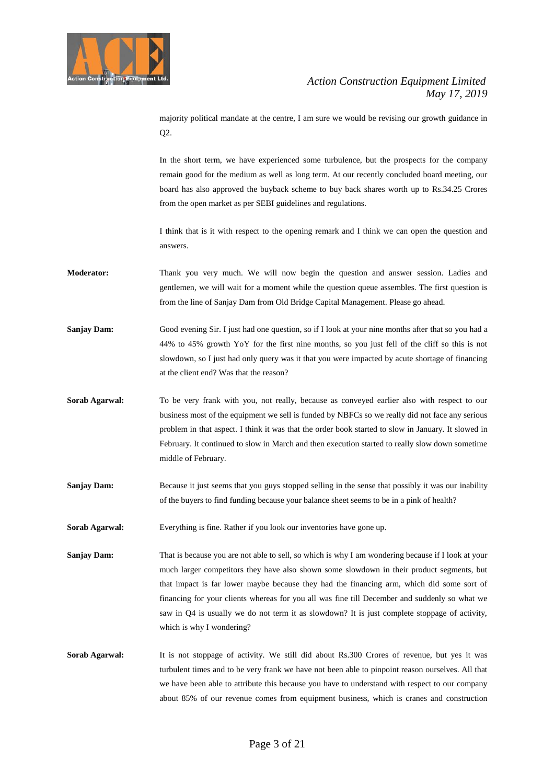

majority political mandate at the centre, I am sure we would be revising our growth guidance in Q2.

In the short term, we have experienced some turbulence, but the prospects for the company remain good for the medium as well as long term. At our recently concluded board meeting, our board has also approved the buyback scheme to buy back shares worth up to Rs.34.25 Crores from the open market as per SEBI guidelines and regulations.

I think that is it with respect to the opening remark and I think we can open the question and answers.

- **Moderator:** Thank you very much. We will now begin the question and answer session. Ladies and gentlemen, we will wait for a moment while the question queue assembles. The first question is from the line of Sanjay Dam from Old Bridge Capital Management. Please go ahead.
- **Sanjay Dam:** Good evening Sir. I just had one question, so if I look at your nine months after that so you had a 44% to 45% growth YoY for the first nine months, so you just fell of the cliff so this is not slowdown, so I just had only query was it that you were impacted by acute shortage of financing at the client end? Was that the reason?
- **Sorab Agarwal:** To be very frank with you, not really, because as conveyed earlier also with respect to our business most of the equipment we sell is funded by NBFCs so we really did not face any serious problem in that aspect. I think it was that the order book started to slow in January. It slowed in February. It continued to slow in March and then execution started to really slow down sometime middle of February.
- **Sanjay Dam:** Because it just seems that you guys stopped selling in the sense that possibly it was our inability of the buyers to find funding because your balance sheet seems to be in a pink of health?
- **Sorab Agarwal:** Everything is fine. Rather if you look our inventories have gone up.

**Sanjay Dam:** That is because you are not able to sell, so which is why I am wondering because if I look at your much larger competitors they have also shown some slowdown in their product segments, but that impact is far lower maybe because they had the financing arm, which did some sort of financing for your clients whereas for you all was fine till December and suddenly so what we saw in Q4 is usually we do not term it as slowdown? It is just complete stoppage of activity, which is why I wondering?

**Sorab Agarwal:** It is not stoppage of activity. We still did about Rs.300 Crores of revenue, but yes it was turbulent times and to be very frank we have not been able to pinpoint reason ourselves. All that we have been able to attribute this because you have to understand with respect to our company about 85% of our revenue comes from equipment business, which is cranes and construction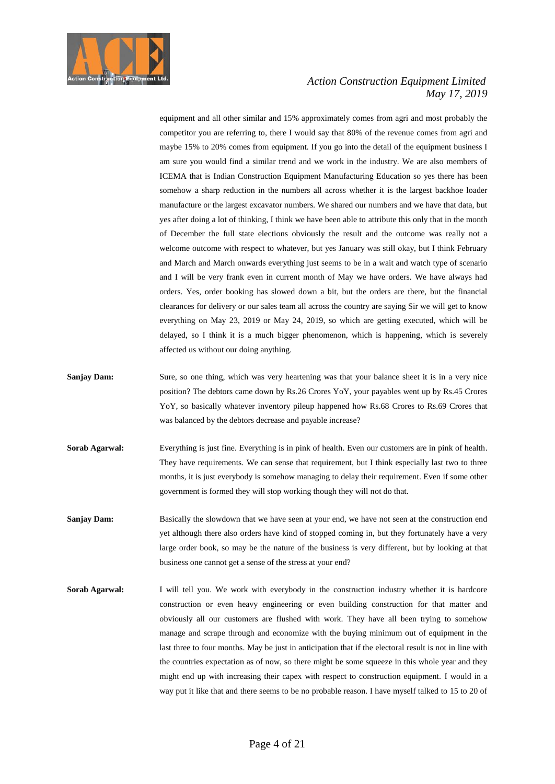

equipment and all other similar and 15% approximately comes from agri and most probably the competitor you are referring to, there I would say that 80% of the revenue comes from agri and maybe 15% to 20% comes from equipment. If you go into the detail of the equipment business I am sure you would find a similar trend and we work in the industry. We are also members of ICEMA that is Indian Construction Equipment Manufacturing Education so yes there has been somehow a sharp reduction in the numbers all across whether it is the largest backhoe loader manufacture or the largest excavator numbers. We shared our numbers and we have that data, but yes after doing a lot of thinking, I think we have been able to attribute this only that in the month of December the full state elections obviously the result and the outcome was really not a welcome outcome with respect to whatever, but yes January was still okay, but I think February and March and March onwards everything just seems to be in a wait and watch type of scenario and I will be very frank even in current month of May we have orders. We have always had orders. Yes, order booking has slowed down a bit, but the orders are there, but the financial clearances for delivery or our sales team all across the country are saying Sir we will get to know everything on May 23, 2019 or May 24, 2019, so which are getting executed, which will be delayed, so I think it is a much bigger phenomenon, which is happening, which is severely affected us without our doing anything.

- **Sanjay Dam:** Sure, so one thing, which was very heartening was that your balance sheet it is in a very nice position? The debtors came down by Rs.26 Crores YoY, your payables went up by Rs.45 Crores YoY, so basically whatever inventory pileup happened how Rs.68 Crores to Rs.69 Crores that was balanced by the debtors decrease and payable increase?
- **Sorab Agarwal:** Everything is just fine. Everything is in pink of health. Even our customers are in pink of health. They have requirements. We can sense that requirement, but I think especially last two to three months, it is just everybody is somehow managing to delay their requirement. Even if some other government is formed they will stop working though they will not do that.
- **Sanjay Dam:** Basically the slowdown that we have seen at your end, we have not seen at the construction end yet although there also orders have kind of stopped coming in, but they fortunately have a very large order book, so may be the nature of the business is very different, but by looking at that business one cannot get a sense of the stress at your end?
- **Sorab Agarwal:** I will tell you. We work with everybody in the construction industry whether it is hardcore construction or even heavy engineering or even building construction for that matter and obviously all our customers are flushed with work. They have all been trying to somehow manage and scrape through and economize with the buying minimum out of equipment in the last three to four months. May be just in anticipation that if the electoral result is not in line with the countries expectation as of now, so there might be some squeeze in this whole year and they might end up with increasing their capex with respect to construction equipment. I would in a way put it like that and there seems to be no probable reason. I have myself talked to 15 to 20 of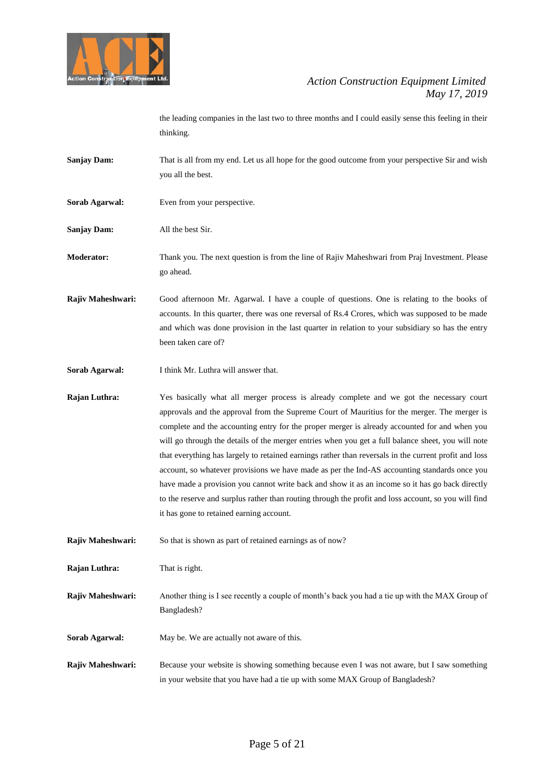

the leading companies in the last two to three months and I could easily sense this feeling in their thinking.

- **Sanjay Dam:** That is all from my end. Let us all hope for the good outcome from your perspective Sir and wish you all the best.
- **Sorab Agarwal:** Even from your perspective.
- **Sanjay Dam:** All the best Sir.

**Moderator:** Thank you. The next question is from the line of Rajiv Maheshwari from Praj Investment. Please go ahead.

**Rajiv Maheshwari:** Good afternoon Mr. Agarwal. I have a couple of questions. One is relating to the books of accounts. In this quarter, there was one reversal of Rs.4 Crores, which was supposed to be made and which was done provision in the last quarter in relation to your subsidiary so has the entry been taken care of?

**Sorab Agarwal:** I think Mr. Luthra will answer that.

**Rajan Luthra:** Yes basically what all merger process is already complete and we got the necessary court approvals and the approval from the Supreme Court of Mauritius for the merger. The merger is complete and the accounting entry for the proper merger is already accounted for and when you will go through the details of the merger entries when you get a full balance sheet, you will note that everything has largely to retained earnings rather than reversals in the current profit and loss account, so whatever provisions we have made as per the Ind-AS accounting standards once you have made a provision you cannot write back and show it as an income so it has go back directly to the reserve and surplus rather than routing through the profit and loss account, so you will find it has gone to retained earning account.

**Rajiv Maheshwari:** So that is shown as part of retained earnings as of now?

**Rajan Luthra:** That is right.

**Rajiv Maheshwari:** Another thing is I see recently a couple of month's back you had a tie up with the MAX Group of Bangladesh?

- **Sorab Agarwal:** May be. We are actually not aware of this.
- **Rajiv Maheshwari:** Because your website is showing something because even I was not aware, but I saw something in your website that you have had a tie up with some MAX Group of Bangladesh?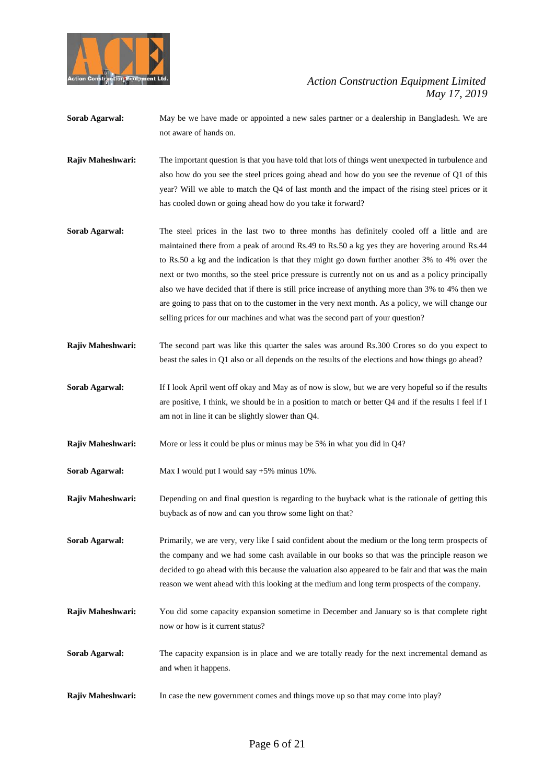

- **Sorab Agarwal:** May be we have made or appointed a new sales partner or a dealership in Bangladesh. We are not aware of hands on.
- **Rajiv Maheshwari:** The important question is that you have told that lots of things went unexpected in turbulence and also how do you see the steel prices going ahead and how do you see the revenue of Q1 of this year? Will we able to match the Q4 of last month and the impact of the rising steel prices or it has cooled down or going ahead how do you take it forward?
- **Sorab Agarwal:** The steel prices in the last two to three months has definitely cooled off a little and are maintained there from a peak of around Rs.49 to Rs.50 a kg yes they are hovering around Rs.44 to Rs.50 a kg and the indication is that they might go down further another 3% to 4% over the next or two months, so the steel price pressure is currently not on us and as a policy principally also we have decided that if there is still price increase of anything more than 3% to 4% then we are going to pass that on to the customer in the very next month. As a policy, we will change our selling prices for our machines and what was the second part of your question?
- **Rajiv Maheshwari:** The second part was like this quarter the sales was around Rs.300 Crores so do you expect to beast the sales in Q1 also or all depends on the results of the elections and how things go ahead?
- **Sorab Agarwal:** If I look April went off okay and May as of now is slow, but we are very hopeful so if the results are positive, I think, we should be in a position to match or better Q4 and if the results I feel if I am not in line it can be slightly slower than Q4.
- **Rajiv Maheshwari:** More or less it could be plus or minus may be 5% in what you did in Q4?
- **Sorab Agarwal:** Max I would put I would say +5% minus 10%.
- **Rajiv Maheshwari:** Depending on and final question is regarding to the buyback what is the rationale of getting this buyback as of now and can you throw some light on that?
- **Sorab Agarwal:** Primarily, we are very, very like I said confident about the medium or the long term prospects of the company and we had some cash available in our books so that was the principle reason we decided to go ahead with this because the valuation also appeared to be fair and that was the main reason we went ahead with this looking at the medium and long term prospects of the company.
- **Rajiv Maheshwari:** You did some capacity expansion sometime in December and January so is that complete right now or how is it current status?
- **Sorab Agarwal:** The capacity expansion is in place and we are totally ready for the next incremental demand as and when it happens.
- **Rajiv Maheshwari:** In case the new government comes and things move up so that may come into play?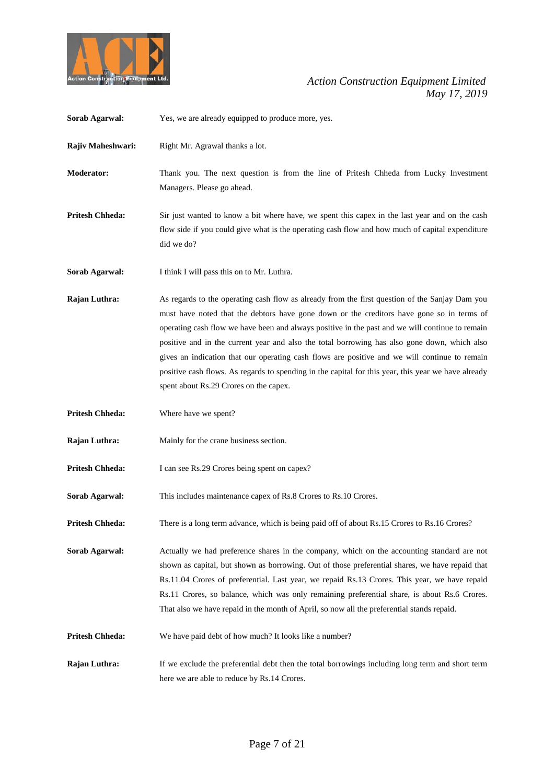

| Sorab Agarwal:         | Yes, we are already equipped to produce more, yes.                                                                                                                                                                                                                                                                                                                                                                                                                                                                                                                                                                                               |
|------------------------|--------------------------------------------------------------------------------------------------------------------------------------------------------------------------------------------------------------------------------------------------------------------------------------------------------------------------------------------------------------------------------------------------------------------------------------------------------------------------------------------------------------------------------------------------------------------------------------------------------------------------------------------------|
| Rajiv Maheshwari:      | Right Mr. Agrawal thanks a lot.                                                                                                                                                                                                                                                                                                                                                                                                                                                                                                                                                                                                                  |
| <b>Moderator:</b>      | Thank you. The next question is from the line of Pritesh Chheda from Lucky Investment<br>Managers. Please go ahead.                                                                                                                                                                                                                                                                                                                                                                                                                                                                                                                              |
| <b>Pritesh Chheda:</b> | Sir just wanted to know a bit where have, we spent this capex in the last year and on the cash<br>flow side if you could give what is the operating cash flow and how much of capital expenditure<br>did we do?                                                                                                                                                                                                                                                                                                                                                                                                                                  |
| Sorab Agarwal:         | I think I will pass this on to Mr. Luthra.                                                                                                                                                                                                                                                                                                                                                                                                                                                                                                                                                                                                       |
| Rajan Luthra:          | As regards to the operating cash flow as already from the first question of the Sanjay Dam you<br>must have noted that the debtors have gone down or the creditors have gone so in terms of<br>operating cash flow we have been and always positive in the past and we will continue to remain<br>positive and in the current year and also the total borrowing has also gone down, which also<br>gives an indication that our operating cash flows are positive and we will continue to remain<br>positive cash flows. As regards to spending in the capital for this year, this year we have already<br>spent about Rs.29 Crores on the capex. |
| <b>Pritesh Chheda:</b> | Where have we spent?                                                                                                                                                                                                                                                                                                                                                                                                                                                                                                                                                                                                                             |
| Rajan Luthra:          | Mainly for the crane business section.                                                                                                                                                                                                                                                                                                                                                                                                                                                                                                                                                                                                           |
| <b>Pritesh Chheda:</b> | I can see Rs.29 Crores being spent on capex?                                                                                                                                                                                                                                                                                                                                                                                                                                                                                                                                                                                                     |
| Sorab Agarwal:         |                                                                                                                                                                                                                                                                                                                                                                                                                                                                                                                                                                                                                                                  |
|                        | This includes maintenance capex of Rs.8 Crores to Rs.10 Crores.                                                                                                                                                                                                                                                                                                                                                                                                                                                                                                                                                                                  |
| <b>Pritesh Chheda:</b> | There is a long term advance, which is being paid off of about Rs.15 Crores to Rs.16 Crores?                                                                                                                                                                                                                                                                                                                                                                                                                                                                                                                                                     |
| Sorab Agarwal:         | Actually we had preference shares in the company, which on the accounting standard are not<br>shown as capital, but shown as borrowing. Out of those preferential shares, we have repaid that<br>Rs.11.04 Crores of preferential. Last year, we repaid Rs.13 Crores. This year, we have repaid<br>Rs.11 Crores, so balance, which was only remaining preferential share, is about Rs.6 Crores.<br>That also we have repaid in the month of April, so now all the preferential stands repaid.                                                                                                                                                     |
| <b>Pritesh Chheda:</b> | We have paid debt of how much? It looks like a number?                                                                                                                                                                                                                                                                                                                                                                                                                                                                                                                                                                                           |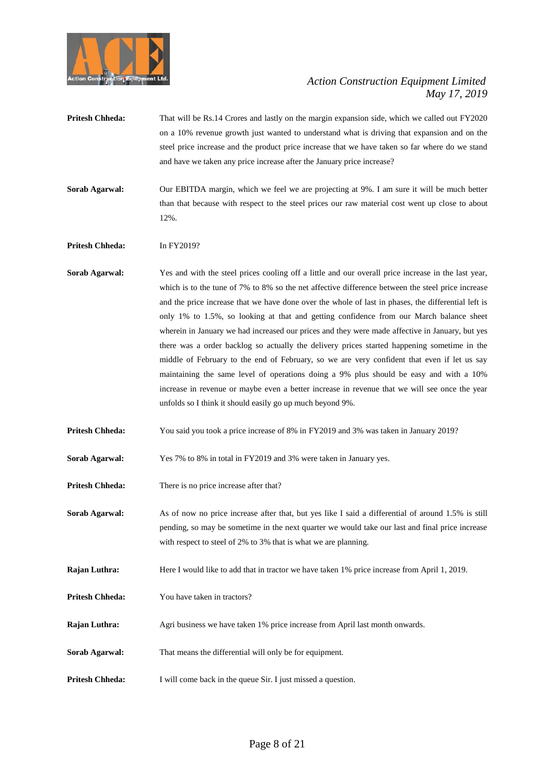

- **Pritesh Chheda:** That will be Rs.14 Crores and lastly on the margin expansion side, which we called out FY2020 on a 10% revenue growth just wanted to understand what is driving that expansion and on the steel price increase and the product price increase that we have taken so far where do we stand and have we taken any price increase after the January price increase?
- **Sorab Agarwal:** Our EBITDA margin, which we feel we are projecting at 9%. I am sure it will be much better than that because with respect to the steel prices our raw material cost went up close to about 12%.

**Pritesh Chheda:** In FY2019?

**Sorab Agarwal:** Yes and with the steel prices cooling off a little and our overall price increase in the last year, which is to the tune of 7% to 8% so the net affective difference between the steel price increase and the price increase that we have done over the whole of last in phases, the differential left is only 1% to 1.5%, so looking at that and getting confidence from our March balance sheet wherein in January we had increased our prices and they were made affective in January, but yes there was a order backlog so actually the delivery prices started happening sometime in the middle of February to the end of February, so we are very confident that even if let us say maintaining the same level of operations doing a 9% plus should be easy and with a 10% increase in revenue or maybe even a better increase in revenue that we will see once the year unfolds so I think it should easily go up much beyond 9%.

**Pritesh Chheda:** You said you took a price increase of 8% in FY2019 and 3% was taken in January 2019?

**Sorab Agarwal:** Yes 7% to 8% in total in FY2019 and 3% were taken in January yes.

- **Pritesh Chheda:** There is no price increase after that?
- **Sorab Agarwal:** As of now no price increase after that, but yes like I said a differential of around 1.5% is still pending, so may be sometime in the next quarter we would take our last and final price increase with respect to steel of 2% to 3% that is what we are planning.
- **Rajan Luthra:** Here I would like to add that in tractor we have taken 1% price increase from April 1, 2019.
- **Pritesh Chheda:** You have taken in tractors?
- **Rajan Luthra:** Agri business we have taken 1% price increase from April last month onwards.
- **Sorab Agarwal:** That means the differential will only be for equipment.
- **Pritesh Chheda:** I will come back in the queue Sir. I just missed a question.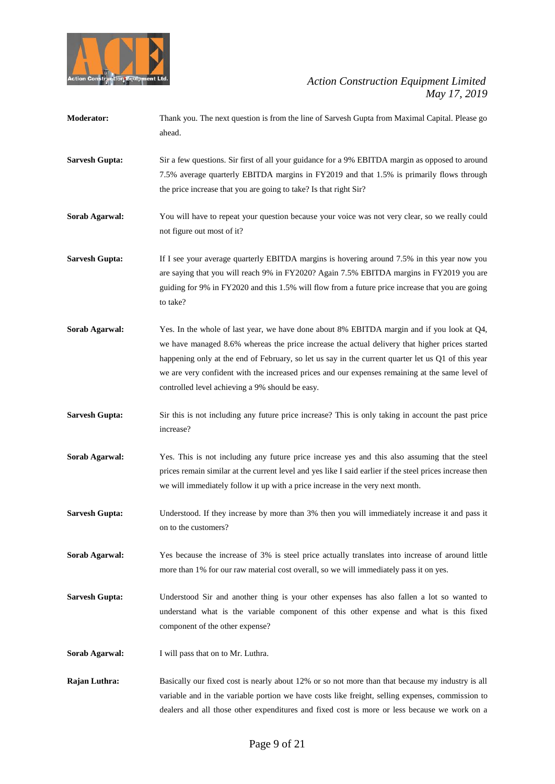

| <b>Moderator:</b> | Thank you. The next question is from the line of Sarvesh Gupta from Maximal Capital. Please go |
|-------------------|------------------------------------------------------------------------------------------------|
|                   | ahead.                                                                                         |
|                   |                                                                                                |

- **Sarvesh Gupta:** Sir a few questions. Sir first of all your guidance for a 9% EBITDA margin as opposed to around 7.5% average quarterly EBITDA margins in FY2019 and that 1.5% is primarily flows through the price increase that you are going to take? Is that right Sir?
- **Sorab Agarwal:** You will have to repeat your question because your voice was not very clear, so we really could not figure out most of it?
- **Sarvesh Gupta:** If I see your average quarterly EBITDA margins is hovering around 7.5% in this year now you are saying that you will reach 9% in FY2020? Again 7.5% EBITDA margins in FY2019 you are guiding for 9% in FY2020 and this 1.5% will flow from a future price increase that you are going to take?
- **Sorab Agarwal:** Yes. In the whole of last year, we have done about 8% EBITDA margin and if you look at Q4, we have managed 8.6% whereas the price increase the actual delivery that higher prices started happening only at the end of February, so let us say in the current quarter let us Q1 of this year we are very confident with the increased prices and our expenses remaining at the same level of controlled level achieving a 9% should be easy.
- **Sarvesh Gupta:** Sir this is not including any future price increase? This is only taking in account the past price increase?
- **Sorab Agarwal:** Yes. This is not including any future price increase yes and this also assuming that the steel prices remain similar at the current level and yes like I said earlier if the steel prices increase then we will immediately follow it up with a price increase in the very next month.
- **Sarvesh Gupta:** Understood. If they increase by more than 3% then you will immediately increase it and pass it on to the customers?
- **Sorab Agarwal:** Yes because the increase of 3% is steel price actually translates into increase of around little more than 1% for our raw material cost overall, so we will immediately pass it on yes.
- **Sarvesh Gupta:** Understood Sir and another thing is your other expenses has also fallen a lot so wanted to understand what is the variable component of this other expense and what is this fixed component of the other expense?
- **Sorab Agarwal:** I will pass that on to Mr. Luthra.
- **Rajan Luthra:** Basically our fixed cost is nearly about 12% or so not more than that because my industry is all variable and in the variable portion we have costs like freight, selling expenses, commission to dealers and all those other expenditures and fixed cost is more or less because we work on a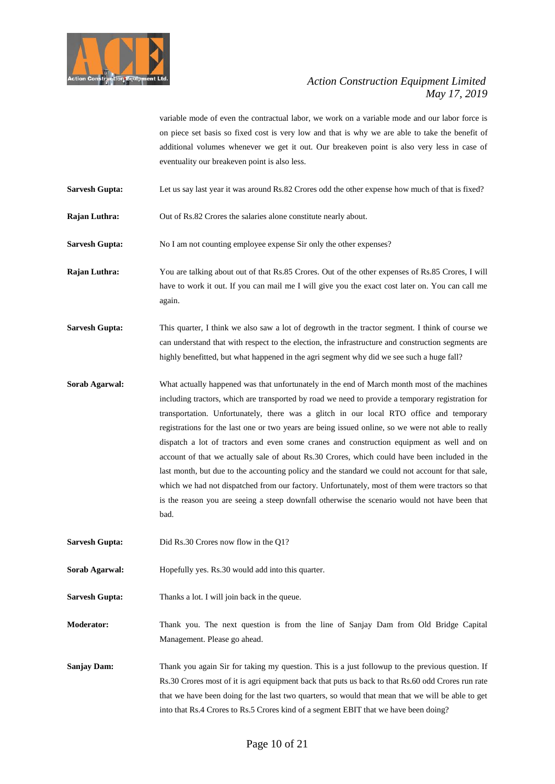

variable mode of even the contractual labor, we work on a variable mode and our labor force is on piece set basis so fixed cost is very low and that is why we are able to take the benefit of additional volumes whenever we get it out. Our breakeven point is also very less in case of eventuality our breakeven point is also less.

- **Sarvesh Gupta:** Let us say last year it was around Rs.82 Crores odd the other expense how much of that is fixed?
- **Rajan Luthra:** Out of Rs.82 Crores the salaries alone constitute nearly about.

**Sarvesh Gupta:** No I am not counting employee expense Sir only the other expenses?

**Rajan Luthra:** You are talking about out of that Rs.85 Crores. Out of the other expenses of Rs.85 Crores, I will have to work it out. If you can mail me I will give you the exact cost later on. You can call me again.

- **Sarvesh Gupta:** This quarter, I think we also saw a lot of degrowth in the tractor segment. I think of course we can understand that with respect to the election, the infrastructure and construction segments are highly benefitted, but what happened in the agri segment why did we see such a huge fall?
- **Sorab Agarwal:** What actually happened was that unfortunately in the end of March month most of the machines including tractors, which are transported by road we need to provide a temporary registration for transportation. Unfortunately, there was a glitch in our local RTO office and temporary registrations for the last one or two years are being issued online, so we were not able to really dispatch a lot of tractors and even some cranes and construction equipment as well and on account of that we actually sale of about Rs.30 Crores, which could have been included in the last month, but due to the accounting policy and the standard we could not account for that sale, which we had not dispatched from our factory. Unfortunately, most of them were tractors so that is the reason you are seeing a steep downfall otherwise the scenario would not have been that bad.
- **Sarvesh Gupta:** Did Rs.30 Crores now flow in the Q1?
- **Sorab Agarwal:** Hopefully yes. Rs.30 would add into this quarter.
- **Sarvesh Gupta:** Thanks a lot. I will join back in the queue.

**Moderator:** Thank you. The next question is from the line of Sanjay Dam from Old Bridge Capital Management. Please go ahead.

**Sanjay Dam:** Thank you again Sir for taking my question. This is a just followup to the previous question. If Rs.30 Crores most of it is agri equipment back that puts us back to that Rs.60 odd Crores run rate that we have been doing for the last two quarters, so would that mean that we will be able to get into that Rs.4 Crores to Rs.5 Crores kind of a segment EBIT that we have been doing?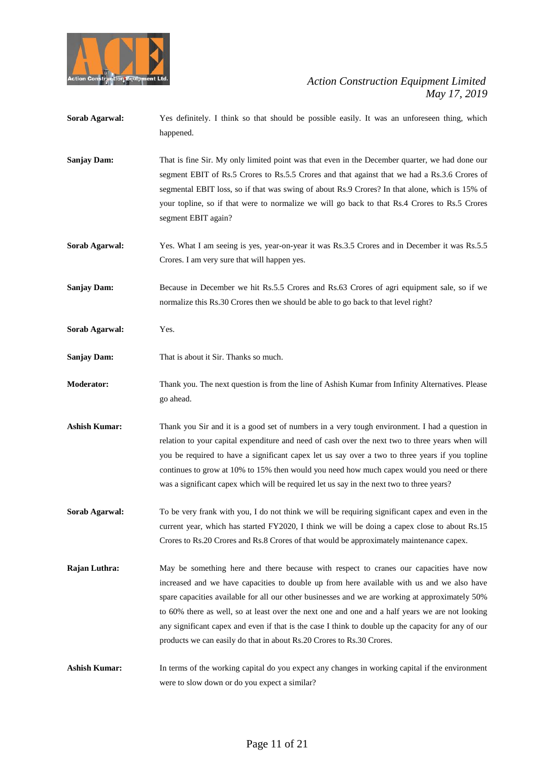

- **Sorab Agarwal:** Yes definitely. I think so that should be possible easily. It was an unforeseen thing, which happened.
- **Sanjay Dam:** That is fine Sir. My only limited point was that even in the December quarter, we had done our segment EBIT of Rs.5 Crores to Rs.5.5 Crores and that against that we had a Rs.3.6 Crores of segmental EBIT loss, so if that was swing of about Rs.9 Crores? In that alone, which is 15% of your topline, so if that were to normalize we will go back to that Rs.4 Crores to Rs.5 Crores segment EBIT again?
- **Sorab Agarwal:** Yes. What I am seeing is yes, year-on-year it was Rs.3.5 Crores and in December it was Rs.5.5 Crores. I am very sure that will happen yes.
- **Sanjay Dam:** Because in December we hit Rs.5.5 Crores and Rs.63 Crores of agri equipment sale, so if we normalize this Rs.30 Crores then we should be able to go back to that level right?
- **Sorab Agarwal:** Yes.
- **Sanjay Dam:** That is about it Sir. Thanks so much.
- **Moderator:** Thank you. The next question is from the line of Ashish Kumar from Infinity Alternatives. Please go ahead.
- **Ashish Kumar:** Thank you Sir and it is a good set of numbers in a very tough environment. I had a question in relation to your capital expenditure and need of cash over the next two to three years when will you be required to have a significant capex let us say over a two to three years if you topline continues to grow at 10% to 15% then would you need how much capex would you need or there was a significant capex which will be required let us say in the next two to three years?
- **Sorab Agarwal:** To be very frank with you, I do not think we will be requiring significant capex and even in the current year, which has started FY2020, I think we will be doing a capex close to about Rs.15 Crores to Rs.20 Crores and Rs.8 Crores of that would be approximately maintenance capex.
- **Rajan Luthra:** May be something here and there because with respect to cranes our capacities have now increased and we have capacities to double up from here available with us and we also have spare capacities available for all our other businesses and we are working at approximately 50% to 60% there as well, so at least over the next one and one and a half years we are not looking any significant capex and even if that is the case I think to double up the capacity for any of our products we can easily do that in about Rs.20 Crores to Rs.30 Crores.

**Ashish Kumar:** In terms of the working capital do you expect any changes in working capital if the environment were to slow down or do you expect a similar?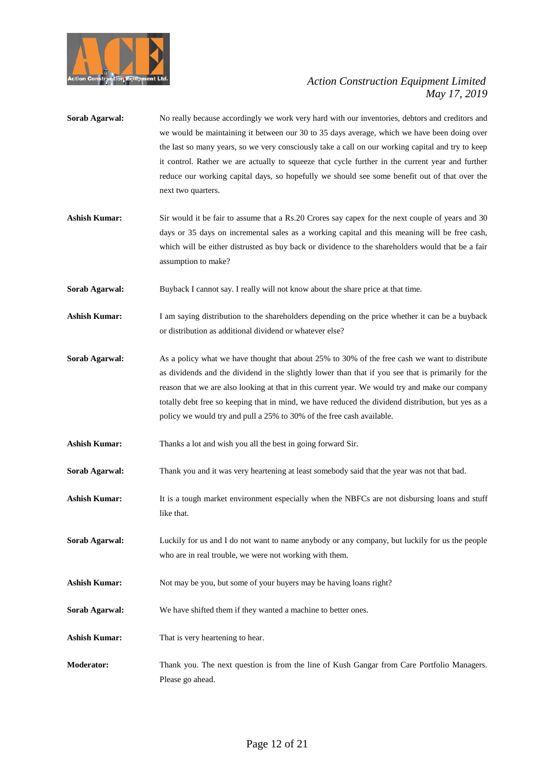

- **Sorab Agarwal:** No really because accordingly we work very hard with our inventories, debtors and creditors and we would be maintaining it between our 30 to 35 days average, which we have been doing over the last so many years, so we very consciously take a call on our working capital and try to keep it control. Rather we are actually to squeeze that cycle further in the current year and further reduce our working capital days, so hopefully we should see some benefit out of that over the next two quarters.
- Ashish Kumar: Sir would it be fair to assume that a Rs.20 Crores say capex for the next couple of years and 30 days or 35 days on incremental sales as a working capital and this meaning will be free cash, which will be either distrusted as buy back or dividence to the shareholders would that be a fair assumption to make?
- **Sorab Agarwal:** Buyback I cannot say. I really will not know about the share price at that time.
- **Ashish Kumar:** I am saying distribution to the shareholders depending on the price whether it can be a buyback or distribution as additional dividend or whatever else?
- **Sorab Agarwal:** As a policy what we have thought that about 25% to 30% of the free cash we want to distribute as dividends and the dividend in the slightly lower than that if you see that is primarily for the reason that we are also looking at that in this current year. We would try and make our company totally debt free so keeping that in mind, we have reduced the dividend distribution, but yes as a policy we would try and pull a 25% to 30% of the free cash available.
- **Ashish Kumar:** Thanks a lot and wish you all the best in going forward Sir.
- **Sorab Agarwal:** Thank you and it was very heartening at least somebody said that the year was not that bad.
- Ashish Kumar: It is a tough market environment especially when the NBFCs are not disbursing loans and stuff like that.
- **Sorab Agarwal:** Luckily for us and I do not want to name anybody or any company, but luckily for us the people who are in real trouble, we were not working with them.
- **Ashish Kumar:** Not may be you, but some of your buyers may be having loans right?
- **Sorab Agarwal:** We have shifted them if they wanted a machine to better ones.
- **Ashish Kumar:** That is very heartening to hear.
- **Moderator:** Thank you. The next question is from the line of Kush Gangar from Care Portfolio Managers. Please go ahead.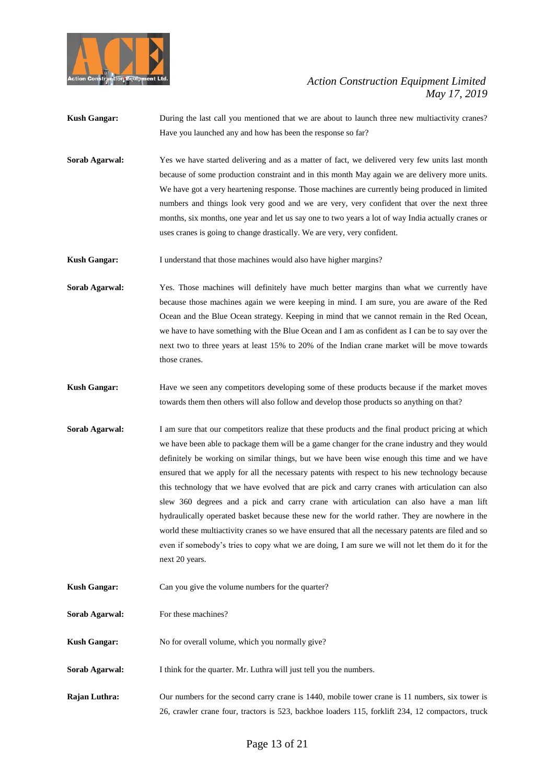

- **Kush Gangar:** During the last call you mentioned that we are about to launch three new multiactivity cranes? Have you launched any and how has been the response so far?
- **Sorab Agarwal:** Yes we have started delivering and as a matter of fact, we delivered very few units last month because of some production constraint and in this month May again we are delivery more units. We have got a very heartening response. Those machines are currently being produced in limited numbers and things look very good and we are very, very confident that over the next three months, six months, one year and let us say one to two years a lot of way India actually cranes or uses cranes is going to change drastically. We are very, very confident.
- Kush Gangar: I understand that those machines would also have higher margins?
- **Sorab Agarwal:** Yes. Those machines will definitely have much better margins than what we currently have because those machines again we were keeping in mind. I am sure, you are aware of the Red Ocean and the Blue Ocean strategy. Keeping in mind that we cannot remain in the Red Ocean, we have to have something with the Blue Ocean and I am as confident as I can be to say over the next two to three years at least 15% to 20% of the Indian crane market will be move towards those cranes.
- **Kush Gangar:** Have we seen any competitors developing some of these products because if the market moves towards them then others will also follow and develop those products so anything on that?
- **Sorab Agarwal:** I am sure that our competitors realize that these products and the final product pricing at which we have been able to package them will be a game changer for the crane industry and they would definitely be working on similar things, but we have been wise enough this time and we have ensured that we apply for all the necessary patents with respect to his new technology because this technology that we have evolved that are pick and carry cranes with articulation can also slew 360 degrees and a pick and carry crane with articulation can also have a man lift hydraulically operated basket because these new for the world rather. They are nowhere in the world these multiactivity cranes so we have ensured that all the necessary patents are filed and so even if somebody's tries to copy what we are doing, I am sure we will not let them do it for the next 20 years.
- **Kush Gangar:** Can you give the volume numbers for the quarter?
- **Sorab Agarwal:** For these machines?
- **Kush Gangar:** No for overall volume, which you normally give?
- **Sorab Agarwal:** I think for the quarter. Mr. Luthra will just tell you the numbers.
- **Rajan Luthra:** Our numbers for the second carry crane is 1440, mobile tower crane is 11 numbers, six tower is 26, crawler crane four, tractors is 523, backhoe loaders 115, forklift 234, 12 compactors, truck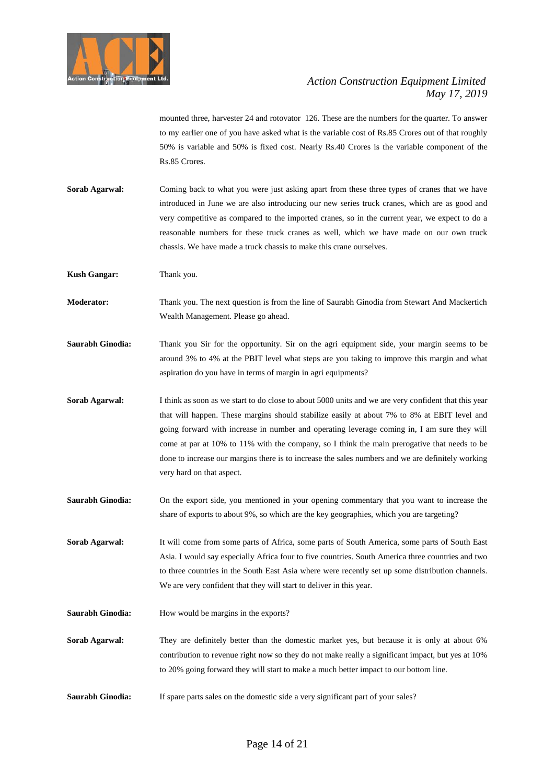

mounted three, harvester 24 and rotovator 126. These are the numbers for the quarter. To answer to my earlier one of you have asked what is the variable cost of Rs.85 Crores out of that roughly 50% is variable and 50% is fixed cost. Nearly Rs.40 Crores is the variable component of the Rs.85 Crores.

**Sorab Agarwal:** Coming back to what you were just asking apart from these three types of cranes that we have introduced in June we are also introducing our new series truck cranes, which are as good and very competitive as compared to the imported cranes, so in the current year, we expect to do a reasonable numbers for these truck cranes as well, which we have made on our own truck chassis. We have made a truck chassis to make this crane ourselves.

**Kush Gangar:** Thank you.

- **Moderator:** Thank you. The next question is from the line of Saurabh Ginodia from Stewart And Mackertich Wealth Management. Please go ahead.
- Saurabh Ginodia: Thank you Sir for the opportunity. Sir on the agri equipment side, your margin seems to be around 3% to 4% at the PBIT level what steps are you taking to improve this margin and what aspiration do you have in terms of margin in agri equipments?
- **Sorab Agarwal:** I think as soon as we start to do close to about 5000 units and we are very confident that this year that will happen. These margins should stabilize easily at about 7% to 8% at EBIT level and going forward with increase in number and operating leverage coming in, I am sure they will come at par at 10% to 11% with the company, so I think the main prerogative that needs to be done to increase our margins there is to increase the sales numbers and we are definitely working very hard on that aspect.
- **Saurabh Ginodia:** On the export side, you mentioned in your opening commentary that you want to increase the share of exports to about 9%, so which are the key geographies, which you are targeting?
- **Sorab Agarwal:** It will come from some parts of Africa, some parts of South America, some parts of South East Asia. I would say especially Africa four to five countries. South America three countries and two to three countries in the South East Asia where were recently set up some distribution channels. We are very confident that they will start to deliver in this year.
- **Saurabh Ginodia:** How would be margins in the exports?
- Sorab Agarwal: They are definitely better than the domestic market yes, but because it is only at about 6% contribution to revenue right now so they do not make really a significant impact, but yes at 10% to 20% going forward they will start to make a much better impact to our bottom line.
- **Saurabh Ginodia:** If spare parts sales on the domestic side a very significant part of your sales?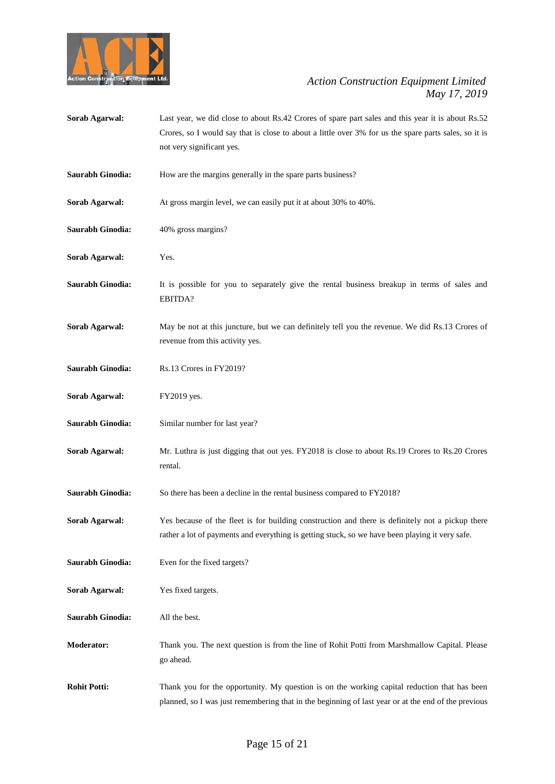

**Sorab Agarwal:** Last year, we did close to about Rs.42 Crores of spare part sales and this year it is about Rs.52 Crores, so I would say that is close to about a little over 3% for us the spare parts sales, so it is not very significant yes. **Saurabh Ginodia:** How are the margins generally in the spare parts business? **Sorab Agarwal:** At gross margin level, we can easily put it at about 30% to 40%. **Saurabh Ginodia:** 40% gross margins? **Sorab Agarwal:** Yes. **Saurabh Ginodia:** It is possible for you to separately give the rental business breakup in terms of sales and EBITDA? **Sorab Agarwal:** May be not at this juncture, but we can definitely tell you the revenue. We did Rs.13 Crores of revenue from this activity yes. **Saurabh Ginodia:** Rs.13 Crores in FY2019? **Sorab Agarwal:** FY2019 yes. **Saurabh Ginodia:** Similar number for last year? **Sorab Agarwal:** Mr. Luthra is just digging that out yes. FY2018 is close to about Rs.19 Crores to Rs.20 Crores rental. **Saurabh Ginodia:** So there has been a decline in the rental business compared to FY2018? **Sorab Agarwal:** Yes because of the fleet is for building construction and there is definitely not a pickup there rather a lot of payments and everything is getting stuck, so we have been playing it very safe. **Saurabh Ginodia:** Even for the fixed targets? **Sorab Agarwal:** Yes fixed targets. **Saurabh Ginodia:** All the best. **Moderator:** Thank you. The next question is from the line of Rohit Potti from Marshmallow Capital. Please go ahead. **Rohit Potti:** Thank you for the opportunity. My question is on the working capital reduction that has been planned, so I was just remembering that in the beginning of last year or at the end of the previous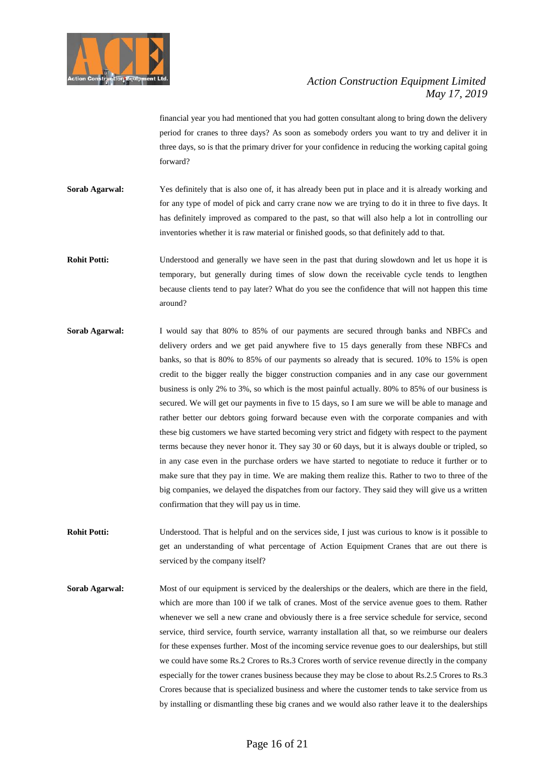

financial year you had mentioned that you had gotten consultant along to bring down the delivery period for cranes to three days? As soon as somebody orders you want to try and deliver it in three days, so is that the primary driver for your confidence in reducing the working capital going forward?

- **Sorab Agarwal:** Yes definitely that is also one of, it has already been put in place and it is already working and for any type of model of pick and carry crane now we are trying to do it in three to five days. It has definitely improved as compared to the past, so that will also help a lot in controlling our inventories whether it is raw material or finished goods, so that definitely add to that.
- **Rohit Potti:** Understood and generally we have seen in the past that during slowdown and let us hope it is temporary, but generally during times of slow down the receivable cycle tends to lengthen because clients tend to pay later? What do you see the confidence that will not happen this time around?
- **Sorab Agarwal:** I would say that 80% to 85% of our payments are secured through banks and NBFCs and delivery orders and we get paid anywhere five to 15 days generally from these NBFCs and banks, so that is 80% to 85% of our payments so already that is secured. 10% to 15% is open credit to the bigger really the bigger construction companies and in any case our government business is only 2% to 3%, so which is the most painful actually. 80% to 85% of our business is secured. We will get our payments in five to 15 days, so I am sure we will be able to manage and rather better our debtors going forward because even with the corporate companies and with these big customers we have started becoming very strict and fidgety with respect to the payment terms because they never honor it. They say 30 or 60 days, but it is always double or tripled, so in any case even in the purchase orders we have started to negotiate to reduce it further or to make sure that they pay in time. We are making them realize this. Rather to two to three of the big companies, we delayed the dispatches from our factory. They said they will give us a written confirmation that they will pay us in time.
- **Rohit Potti:** Understood. That is helpful and on the services side, I just was curious to know is it possible to get an understanding of what percentage of Action Equipment Cranes that are out there is serviced by the company itself?
- **Sorab Agarwal:** Most of our equipment is serviced by the dealerships or the dealers, which are there in the field, which are more than 100 if we talk of cranes. Most of the service avenue goes to them. Rather whenever we sell a new crane and obviously there is a free service schedule for service, second service, third service, fourth service, warranty installation all that, so we reimburse our dealers for these expenses further. Most of the incoming service revenue goes to our dealerships, but still we could have some Rs.2 Crores to Rs.3 Crores worth of service revenue directly in the company especially for the tower cranes business because they may be close to about Rs.2.5 Crores to Rs.3 Crores because that is specialized business and where the customer tends to take service from us by installing or dismantling these big cranes and we would also rather leave it to the dealerships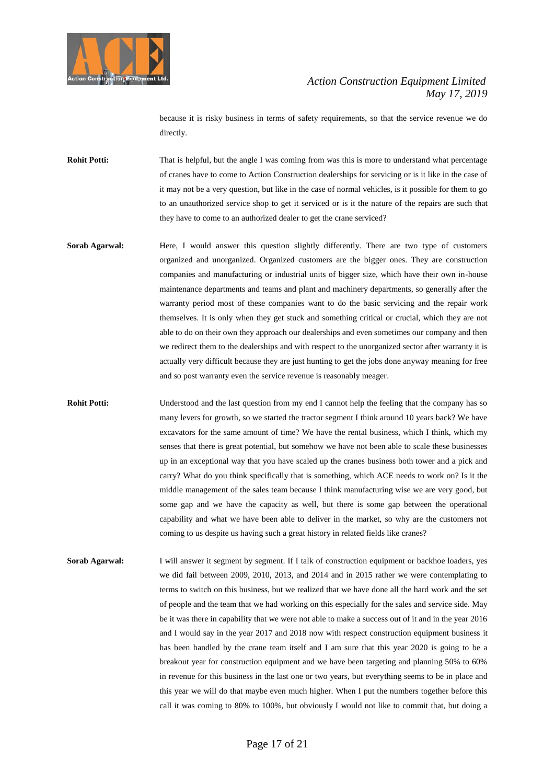

because it is risky business in terms of safety requirements, so that the service revenue we do directly.

- **Rohit Potti:** That is helpful, but the angle I was coming from was this is more to understand what percentage of cranes have to come to Action Construction dealerships for servicing or is it like in the case of it may not be a very question, but like in the case of normal vehicles, is it possible for them to go to an unauthorized service shop to get it serviced or is it the nature of the repairs are such that they have to come to an authorized dealer to get the crane serviced?
- **Sorab Agarwal:** Here, I would answer this question slightly differently. There are two type of customers organized and unorganized. Organized customers are the bigger ones. They are construction companies and manufacturing or industrial units of bigger size, which have their own in-house maintenance departments and teams and plant and machinery departments, so generally after the warranty period most of these companies want to do the basic servicing and the repair work themselves. It is only when they get stuck and something critical or crucial, which they are not able to do on their own they approach our dealerships and even sometimes our company and then we redirect them to the dealerships and with respect to the unorganized sector after warranty it is actually very difficult because they are just hunting to get the jobs done anyway meaning for free and so post warranty even the service revenue is reasonably meager.
- **Rohit Potti:** Understood and the last question from my end I cannot help the feeling that the company has so many levers for growth, so we started the tractor segment I think around 10 years back? We have excavators for the same amount of time? We have the rental business, which I think, which my senses that there is great potential, but somehow we have not been able to scale these businesses up in an exceptional way that you have scaled up the cranes business both tower and a pick and carry? What do you think specifically that is something, which ACE needs to work on? Is it the middle management of the sales team because I think manufacturing wise we are very good, but some gap and we have the capacity as well, but there is some gap between the operational capability and what we have been able to deliver in the market, so why are the customers not coming to us despite us having such a great history in related fields like cranes?
- **Sorab Agarwal:** I will answer it segment by segment. If I talk of construction equipment or backhoe loaders, yes we did fail between 2009, 2010, 2013, and 2014 and in 2015 rather we were contemplating to terms to switch on this business, but we realized that we have done all the hard work and the set of people and the team that we had working on this especially for the sales and service side. May be it was there in capability that we were not able to make a success out of it and in the year 2016 and I would say in the year 2017 and 2018 now with respect construction equipment business it has been handled by the crane team itself and I am sure that this year 2020 is going to be a breakout year for construction equipment and we have been targeting and planning 50% to 60% in revenue for this business in the last one or two years, but everything seems to be in place and this year we will do that maybe even much higher. When I put the numbers together before this call it was coming to 80% to 100%, but obviously I would not like to commit that, but doing a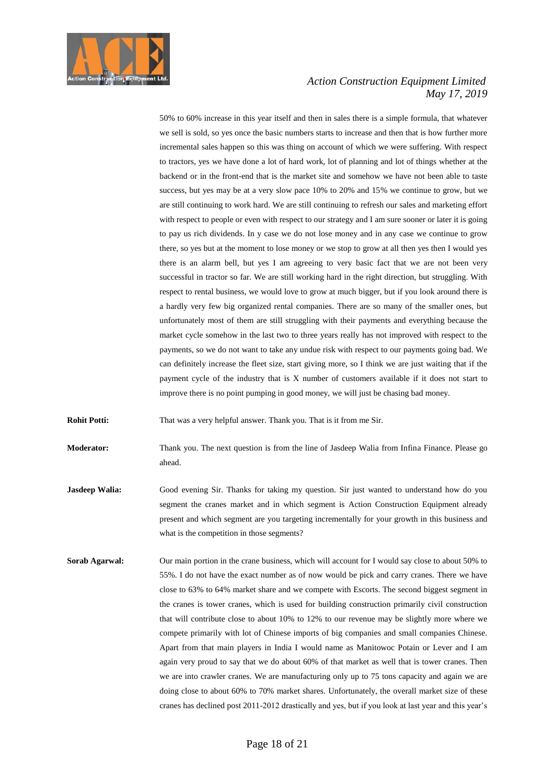

50% to 60% increase in this year itself and then in sales there is a simple formula, that whatever we sell is sold, so yes once the basic numbers starts to increase and then that is how further more incremental sales happen so this was thing on account of which we were suffering. With respect to tractors, yes we have done a lot of hard work, lot of planning and lot of things whether at the backend or in the front-end that is the market site and somehow we have not been able to taste success, but yes may be at a very slow pace 10% to 20% and 15% we continue to grow, but we are still continuing to work hard. We are still continuing to refresh our sales and marketing effort with respect to people or even with respect to our strategy and I am sure sooner or later it is going to pay us rich dividends. In y case we do not lose money and in any case we continue to grow there, so yes but at the moment to lose money or we stop to grow at all then yes then I would yes there is an alarm bell, but yes I am agreeing to very basic fact that we are not been very successful in tractor so far. We are still working hard in the right direction, but struggling. With respect to rental business, we would love to grow at much bigger, but if you look around there is a hardly very few big organized rental companies. There are so many of the smaller ones, but unfortunately most of them are still struggling with their payments and everything because the market cycle somehow in the last two to three years really has not improved with respect to the payments, so we do not want to take any undue risk with respect to our payments going bad. We can definitely increase the fleet size, start giving more, so I think we are just waiting that if the payment cycle of the industry that is X number of customers available if it does not start to improve there is no point pumping in good money, we will just be chasing bad money.

**Rohit Potti:** That was a very helpful answer. Thank you. That is it from me Sir.

**Moderator:** Thank you. The next question is from the line of Jasdeep Walia from Infina Finance. Please go ahead.

- **Jasdeep Walia:** Good evening Sir. Thanks for taking my question. Sir just wanted to understand how do you segment the cranes market and in which segment is Action Construction Equipment already present and which segment are you targeting incrementally for your growth in this business and what is the competition in those segments?
- **Sorab Agarwal:** Our main portion in the crane business, which will account for I would say close to about 50% to 55%. I do not have the exact number as of now would be pick and carry cranes. There we have close to 63% to 64% market share and we compete with Escorts. The second biggest segment in the cranes is tower cranes, which is used for building construction primarily civil construction that will contribute close to about 10% to 12% to our revenue may be slightly more where we compete primarily with lot of Chinese imports of big companies and small companies Chinese. Apart from that main players in India I would name as Manitowoc Potain or Lever and I am again very proud to say that we do about 60% of that market as well that is tower cranes. Then we are into crawler cranes. We are manufacturing only up to 75 tons capacity and again we are doing close to about 60% to 70% market shares. Unfortunately, the overall market size of these cranes has declined post 2011-2012 drastically and yes, but if you look at last year and this year's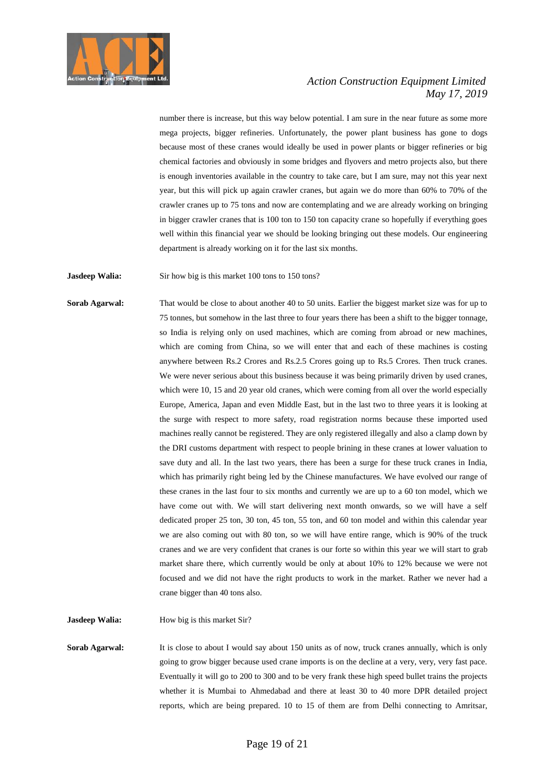

number there is increase, but this way below potential. I am sure in the near future as some more mega projects, bigger refineries. Unfortunately, the power plant business has gone to dogs because most of these cranes would ideally be used in power plants or bigger refineries or big chemical factories and obviously in some bridges and flyovers and metro projects also, but there is enough inventories available in the country to take care, but I am sure, may not this year next year, but this will pick up again crawler cranes, but again we do more than 60% to 70% of the crawler cranes up to 75 tons and now are contemplating and we are already working on bringing in bigger crawler cranes that is 100 ton to 150 ton capacity crane so hopefully if everything goes well within this financial year we should be looking bringing out these models. Our engineering department is already working on it for the last six months.

**Jasdeep Walia:** Sir how big is this market 100 tons to 150 tons?

**Sorab Agarwal:** That would be close to about another 40 to 50 units. Earlier the biggest market size was for up to 75 tonnes, but somehow in the last three to four years there has been a shift to the bigger tonnage, so India is relying only on used machines, which are coming from abroad or new machines, which are coming from China, so we will enter that and each of these machines is costing anywhere between Rs.2 Crores and Rs.2.5 Crores going up to Rs.5 Crores. Then truck cranes. We were never serious about this business because it was being primarily driven by used cranes, which were 10, 15 and 20 year old cranes, which were coming from all over the world especially Europe, America, Japan and even Middle East, but in the last two to three years it is looking at the surge with respect to more safety, road registration norms because these imported used machines really cannot be registered. They are only registered illegally and also a clamp down by the DRI customs department with respect to people brining in these cranes at lower valuation to save duty and all. In the last two years, there has been a surge for these truck cranes in India, which has primarily right being led by the Chinese manufactures. We have evolved our range of these cranes in the last four to six months and currently we are up to a 60 ton model, which we have come out with. We will start delivering next month onwards, so we will have a self dedicated proper 25 ton, 30 ton, 45 ton, 55 ton, and 60 ton model and within this calendar year we are also coming out with 80 ton, so we will have entire range, which is 90% of the truck cranes and we are very confident that cranes is our forte so within this year we will start to grab market share there, which currently would be only at about 10% to 12% because we were not focused and we did not have the right products to work in the market. Rather we never had a crane bigger than 40 tons also.

**Jasdeep Walia:** How big is this market Sir?

**Sorab Agarwal:** It is close to about I would say about 150 units as of now, truck cranes annually, which is only going to grow bigger because used crane imports is on the decline at a very, very, very fast pace. Eventually it will go to 200 to 300 and to be very frank these high speed bullet trains the projects whether it is Mumbai to Ahmedabad and there at least 30 to 40 more DPR detailed project reports, which are being prepared. 10 to 15 of them are from Delhi connecting to Amritsar,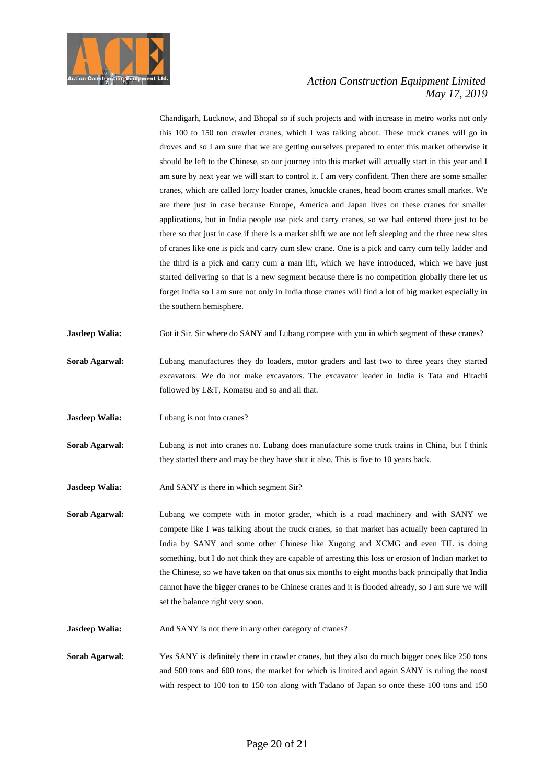

Chandigarh, Lucknow, and Bhopal so if such projects and with increase in metro works not only this 100 to 150 ton crawler cranes, which I was talking about. These truck cranes will go in droves and so I am sure that we are getting ourselves prepared to enter this market otherwise it should be left to the Chinese, so our journey into this market will actually start in this year and I am sure by next year we will start to control it. I am very confident. Then there are some smaller cranes, which are called lorry loader cranes, knuckle cranes, head boom cranes small market. We are there just in case because Europe, America and Japan lives on these cranes for smaller applications, but in India people use pick and carry cranes, so we had entered there just to be there so that just in case if there is a market shift we are not left sleeping and the three new sites of cranes like one is pick and carry cum slew crane. One is a pick and carry cum telly ladder and the third is a pick and carry cum a man lift, which we have introduced, which we have just started delivering so that is a new segment because there is no competition globally there let us forget India so I am sure not only in India those cranes will find a lot of big market especially in the southern hemisphere.

**Jasdeep Walia:** Got it Sir. Sir where do SANY and Lubang compete with you in which segment of these cranes?

- **Sorab Agarwal:** Lubang manufactures they do loaders, motor graders and last two to three years they started excavators. We do not make excavators. The excavator leader in India is Tata and Hitachi followed by L&T, Komatsu and so and all that.
- **Jasdeep Walia:** Lubang is not into cranes?
- **Sorab Agarwal:** Lubang is not into cranes no. Lubang does manufacture some truck trains in China, but I think they started there and may be they have shut it also. This is five to 10 years back.
- **Jasdeep Walia:** And SANY is there in which segment Sir?
- **Sorab Agarwal:** Lubang we compete with in motor grader, which is a road machinery and with SANY we compete like I was talking about the truck cranes, so that market has actually been captured in India by SANY and some other Chinese like Xugong and XCMG and even TIL is doing something, but I do not think they are capable of arresting this loss or erosion of Indian market to the Chinese, so we have taken on that onus six months to eight months back principally that India cannot have the bigger cranes to be Chinese cranes and it is flooded already, so I am sure we will set the balance right very soon.
- **Jasdeep Walia:** And SANY is not there in any other category of cranes?
- **Sorab Agarwal:** Yes SANY is definitely there in crawler cranes, but they also do much bigger ones like 250 tons and 500 tons and 600 tons, the market for which is limited and again SANY is ruling the roost with respect to 100 ton to 150 ton along with Tadano of Japan so once these 100 tons and 150